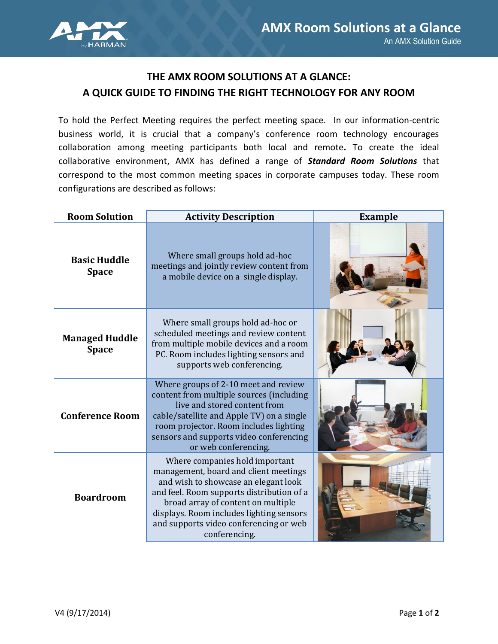

## **THE AMX ROOM SOLUTIONS AT A GLANCE: A QUICK GUIDE TO FINDING THE RIGHT TECHNOLOGY FOR ANY ROOM**

To hold the Perfect Meeting requires the perfect meeting space. In our information-centric business world, it is crucial that a company's conference room technology encourages collaboration among meeting participants both local and remote*.* To create the ideal collaborative environment, AMX has defined a range of *Standard Room Solutions* that correspond to the most common meeting spaces in corporate campuses today. These room configurations are described as follows:

| <b>Room Solution</b>                  | <b>Activity Description</b>                                                                                                                                                                                                                                                                               | <b>Example</b> |  |
|---------------------------------------|-----------------------------------------------------------------------------------------------------------------------------------------------------------------------------------------------------------------------------------------------------------------------------------------------------------|----------------|--|
| <b>Basic Huddle</b><br><b>Space</b>   | Where small groups hold ad-hoc<br>meetings and jointly review content from<br>a mobile device on a single display.                                                                                                                                                                                        |                |  |
| <b>Managed Huddle</b><br><b>Space</b> | Where small groups hold ad-hoc or<br>scheduled meetings and review content<br>from multiple mobile devices and a room<br>PC. Room includes lighting sensors and<br>supports web conferencing.                                                                                                             |                |  |
| <b>Conference Room</b>                | Where groups of 2-10 meet and review<br>content from multiple sources (including<br>live and stored content from<br>cable/satellite and Apple TV) on a single<br>room projector. Room includes lighting<br>sensors and supports video conferencing<br>or web conferencing.                                |                |  |
| <b>Boardroom</b>                      | Where companies hold important<br>management, board and client meetings<br>and wish to showcase an elegant look<br>and feel. Room supports distribution of a<br>broad array of content on multiple<br>displays. Room includes lighting sensors<br>and supports video conferencing or web<br>conferencing. |                |  |